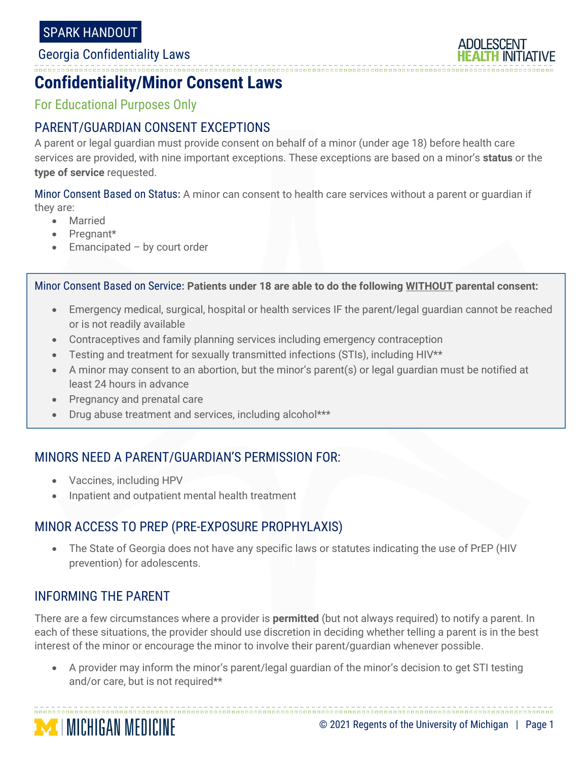

### **Confidentiality/Minor Consent Laws**

For Educational Purposes Only

# PARENT/GUARDIAN CONSENT EXCEPTIONS

A parent or legal guardian must provide consent on behalf of a minor (under age 18) before health care services are provided, with nine important exceptions. These exceptions are based on a minor's **status** or the **type of service** requested.

Minor Consent Based on Status**:** A minor can consent to health care services without a parent or guardian if they are:

• Married

- Pregnant\*
- Emancipated  $-$  by court order

Minor Consent Based on Service**: Patients under 18 are able to do the following WITHOUT parental consent:**

- Emergency medical, surgical, hospital or health services IF the parent/legal guardian cannot be reached or is not readily available
- Contraceptives and family planning services including emergency contraception
- Testing and treatment for sexually transmitted infections (STIs), including HIV\*\*
- A minor may consent to an abortion, but the minor's parent(s) or legal guardian must be notified at least 24 hours in advance
- Pregnancy and prenatal care
- Drug abuse treatment and services, including alcohol\*\*\*

## MINORS NEED A PARENT/GUARDIAN'S PERMISSION FOR:

- Vaccines, including HPV
- Inpatient and outpatient mental health treatment

# MINOR ACCESS TO PREP (PRE-EXPOSURE PROPHYLAXIS)

• The State of Georgia does not have any specific laws or statutes indicating the use of PrEP (HIV prevention) for adolescents.

### INFORMING THE PARENT

There are a few circumstances where a provider is **permitted** (but not always required) to notify a parent. In each of these situations, the provider should use discretion in deciding whether telling a parent is in the best interest of the minor or encourage the minor to involve their parent/guardian whenever possible.

• A provider may inform the minor's parent/legal guardian of the minor's decision to get STI testing and/or care, but is not required\*\*

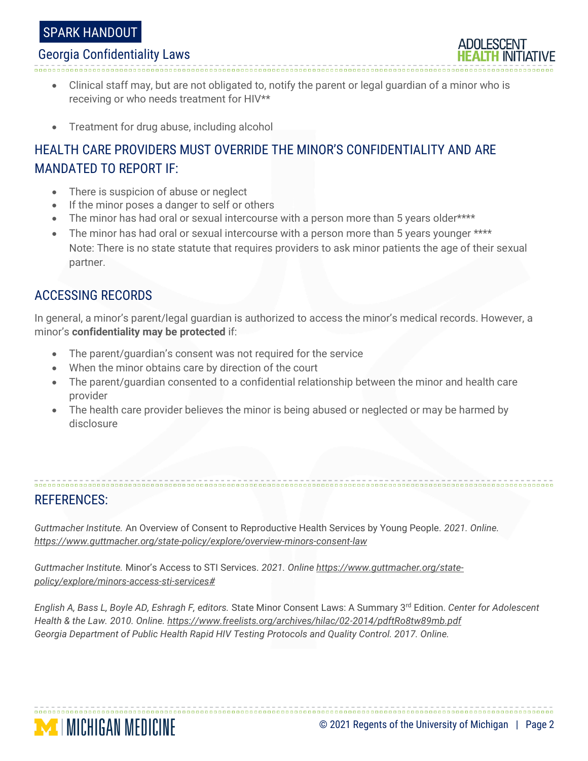### SPARK HANDOUT

#### Georgia Confidentiality Laws

• Clinical staff may, but are not obligated to, notify the parent or legal guardian of a minor who is receiving or who needs treatment for HIV\*\*

• Treatment for drug abuse, including alcohol

# HEALTH CARE PROVIDERS MUST OVERRIDE THE MINOR'S CONFIDENTIALITY AND ARE MANDATED TO REPORT IF:

- There is suspicion of abuse or neglect
- If the minor poses a danger to self or others
- The minor has had oral or sexual intercourse with a person more than 5 years older\*\*\*\*
- The minor has had oral or sexual intercourse with a person more than 5 years younger \*\*\*\* Note: There is no state statute that requires providers to ask minor patients the age of their sexual partner.

### ACCESSING RECORDS

In general, a minor's parent/legal guardian is authorized to access the minor's medical records. However, a minor's **confidentiality may be protected** if:

- The parent/guardian's consent was not required for the service
- When the minor obtains care by direction of the court
- The parent/guardian consented to a confidential relationship between the minor and health care provider
- The health care provider believes the minor is being abused or neglected or may be harmed by disclosure

## REFERENCES:

*Guttmacher Institute.* An Overview of Consent to Reproductive Health Services by Young People. *2021. Online. <https://www.guttmacher.org/state-policy/explore/overview-minors-consent-law>*

*Guttmacher Institute.* Minor's Access to STI Services. *2021. Onlin[e https://www.guttmacher.org/state](https://www.guttmacher.org/state-policy/explore/minors-access-sti-services)[policy/explore/minors-access-sti-services#](https://www.guttmacher.org/state-policy/explore/minors-access-sti-services)*

*English A, Bass L, Boyle AD, Eshragh F, editors.* State Minor Consent Laws: A Summary 3rd Edition. *Center for Adolescent Health & the Law. 2010. Online.<https://www.freelists.org/archives/hilac/02-2014/pdftRo8tw89mb.pdf> Georgia Department of Public Health Rapid HIV Testing Protocols and Quality Control. 2017. Online.*